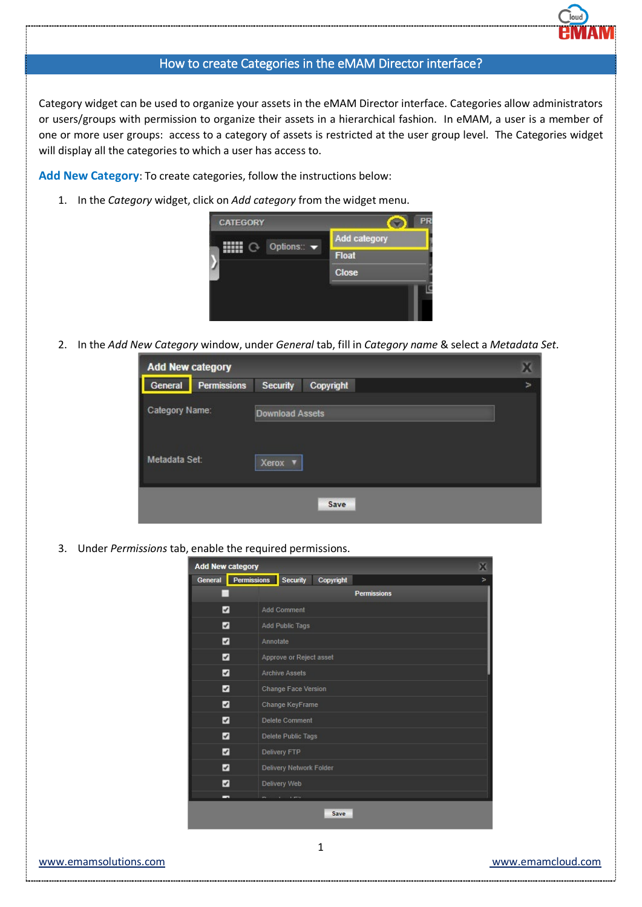## How to create Categories in the eMAM Director interface?

Category widget can be used to organize your assets in the eMAM Director interface. Categories allow administrators or users/groups with permission to organize their assets in a hierarchical fashion. In eMAM, a user is a member of one or more user groups: access to a category of assets is restricted at the user group level. The Categories widget will display all the categories to which a user has access to.

**Add New Category**: To create categories, follow the instructions below:

1. In the *Category* widget, click on *Add category* from the widget menu.



2. In the *Add New Category* window, under *General* tab, fill in *Category name* & select a *Metadata Set*.

| <b>Add New category</b> |                    |                        |           |   |
|-------------------------|--------------------|------------------------|-----------|---|
| General                 | <b>Permissions</b> | Security               | Copyright | ⋗ |
| Category Name:          |                    | <b>Download Assets</b> |           |   |
| Metadata Set:           |                    | Xerox ▼                |           |   |
|                         |                    |                        | Save      |   |

3. Under *Permissions* tab, enable the required permissions.

| <b>Add New category</b>  |                    |                            |           | х                  |
|--------------------------|--------------------|----------------------------|-----------|--------------------|
| General                  | <b>Permissions</b> | Security                   | Copyright | $\geq$             |
|                          |                    |                            |           | <b>Permissions</b> |
| ☑                        |                    | <b>Add Comment</b>         |           |                    |
| $\blacktriangleright$    |                    | Add Public Tags            |           |                    |
| ☑                        | Annotate           |                            |           |                    |
| ☑                        |                    | Approve or Reject asset    |           |                    |
| ☑                        |                    | <b>Archive Assets</b>      |           |                    |
| $\overline{\mathcal{L}}$ |                    | <b>Change Face Version</b> |           |                    |
| ☑                        |                    | Change KeyFrame            |           |                    |
| ☑                        |                    | <b>Delete Comment</b>      |           |                    |
| ☑                        |                    | Delete Public Tags         |           |                    |
| ☑                        |                    | <b>Delivery FTP</b>        |           |                    |
| ☑                        |                    | Delivery Network Folder    |           |                    |
| ☑                        |                    | Delivery Web               |           |                    |
| $\overline{\phantom{a}}$ |                    |                            |           |                    |
|                          |                    |                            | Save      |                    |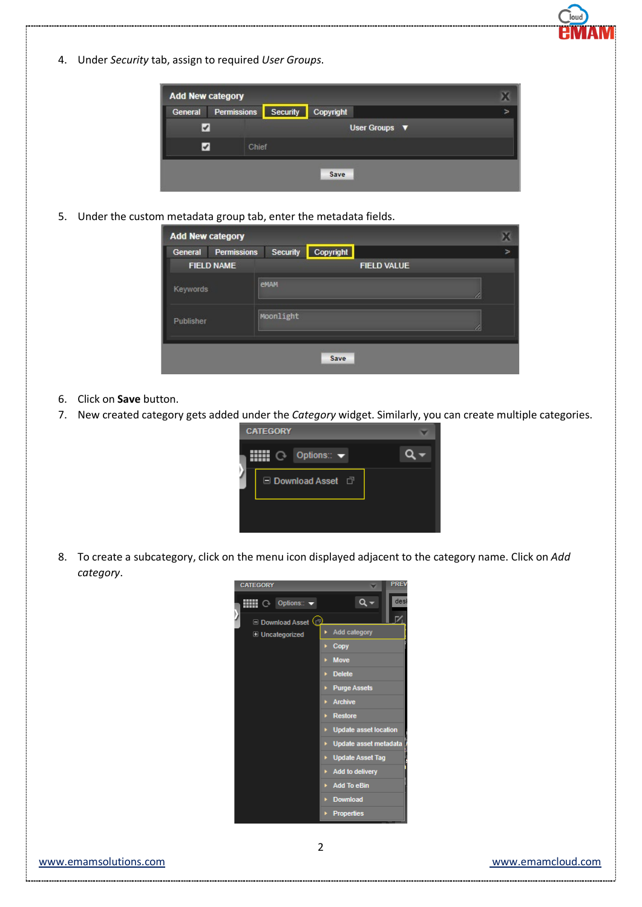4. Under *Security* tab, assign to required *User Groups*.

| <b>Add New category</b> |                    |                 |                      |  |
|-------------------------|--------------------|-----------------|----------------------|--|
| General                 | <b>Permissions</b> | <b>Security</b> | Copyright            |  |
|                         |                    |                 | User Groups <b>V</b> |  |
|                         | Chief              |                 |                      |  |
|                         |                    |                 | Save                 |  |

5. Under the custom metadata group tab, enter the metadata fields.

|           | <b>Add New category</b> |           |           |                    |                       |
|-----------|-------------------------|-----------|-----------|--------------------|-----------------------|
| General   | <b>Permissions</b>      | Security  | Copyright |                    | $\blacktriangleright$ |
|           | <b>FIELD NAME</b>       |           |           | <b>FIELD VALUE</b> |                       |
| Keywords  |                         | eMAM      |           |                    |                       |
| Publisher |                         | Moonlight |           |                    |                       |
|           |                         |           | Save      |                    |                       |

- 6. Click on **Save** button.
- 7. New created category gets added under the *Category* widget. Similarly, you can create multiple categories.



8. To create a subcategory, click on the menu icon displayed adjacent to the category name. Click on *Add category*.



low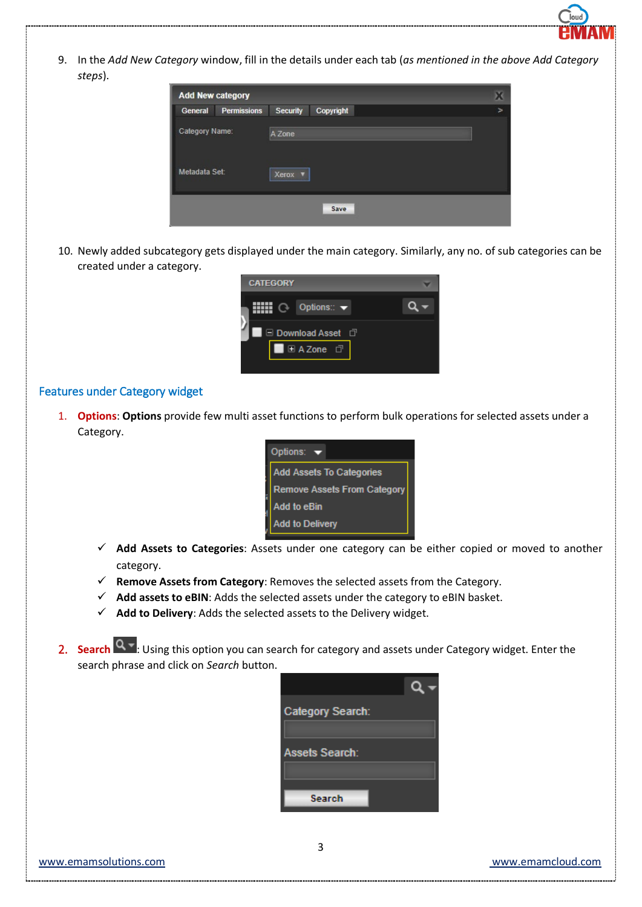

9. In the *Add New Category* window, fill in the details under each tab (*as mentioned in the above Add Category steps*).

| <b>Add New category</b> |                    |                 |           |                       |
|-------------------------|--------------------|-----------------|-----------|-----------------------|
| General                 | <b>Permissions</b> | <b>Security</b> | Copyright | $\blacktriangleright$ |
| Category Name:          |                    | A Zone          |           |                       |
| Metadata Set:           |                    | Xerox<br>п      |           |                       |
|                         |                    |                 | Save      |                       |

10. Newly added subcategory gets displayed under the main category. Similarly, any no. of sub categories can be created under a category.

| <b>CATEGORY</b>                |  |
|--------------------------------|--|
| Options:: $\blacktriangledown$ |  |
| □ Download Asset □             |  |
| 国AZone<br>□                    |  |
|                                |  |

## Features under Category widget

1. **Options**: **Options** provide few multi asset functions to perform bulk operations for selected assets under a Category.

| Options:                           |  |  |
|------------------------------------|--|--|
| <b>Add Assets To Categories</b>    |  |  |
| <b>Remove Assets From Category</b> |  |  |
| <b>Add to eBin</b>                 |  |  |
| <b>Add to Delivery</b>             |  |  |

- **Add Assets to Categories**: Assets under one category can be either copied or moved to another category.
- **Remove Assets from Category**: Removes the selected assets from the Category.
- **Add assets to eBIN**: Adds the selected assets under the category to eBIN basket.
- $\checkmark$  Add to Delivery: Adds the selected assets to the Delivery widget.
- 2. **Search** Q  $\overline{P}$ . Using this option you can search for category and assets under Category widget. Enter the search phrase and click on *Search* button.

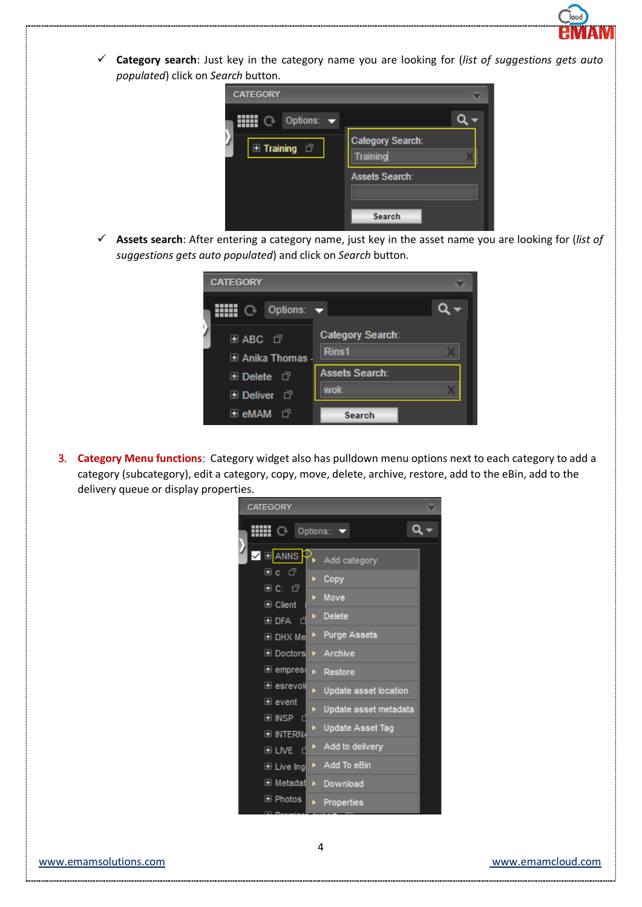

 **Category search**: Just key in the category name you are looking for (*list of suggestions gets auto populated*) click on *Search* button.



 **Assets search**: After entering a category name, just key in the asset name you are looking for (*list of suggestions gets auto populated*) and click on *Search* button.

| <b>CATEGORY</b>                 |                                  |
|---------------------------------|----------------------------------|
| Options: $\blacktriangledown$   |                                  |
| 国 ABC 口<br>国 Anika Thomas       | <b>Category Search:</b><br>Rins1 |
| <b>El Delete</b> d <sup>1</sup> | <b>Assets Search:</b>            |
| <b>⊞ Deliver</b> □              | wok                              |
| ⊞ eMAM<br>- 고                   | <b>Search</b>                    |

3. **Category Menu functions**: Category widget also has pulldown menu options next to each category to add a category (subcategory), edit a category, copy, move, delete, archive, restore, add to the eBin, add to the delivery queue or display properties.



 $\begin{array}{c} \hline \end{array}$